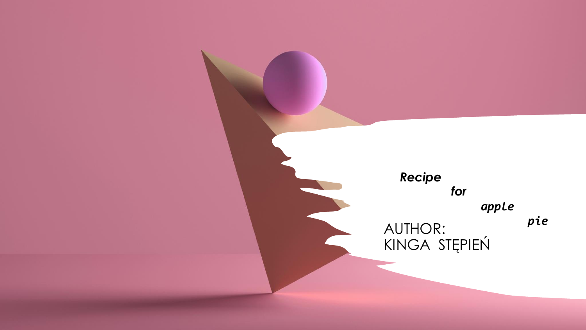AUTHOR: KINGA STĘPIEŃ *Recipe for apple pie*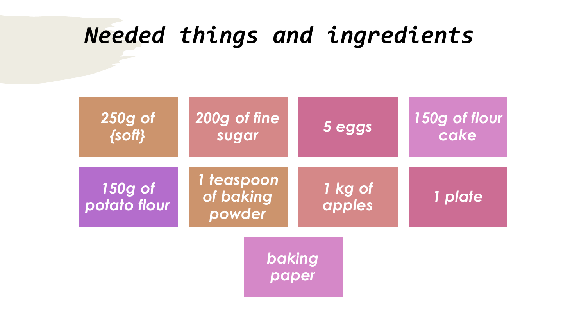# *Needed things and ingredients*

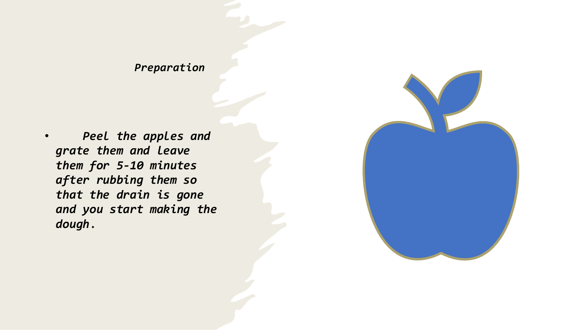• *Peel the apples and grate them and leave them for 5-10 minutes after rubbing them so that the drain is gone and you start making the dough*.

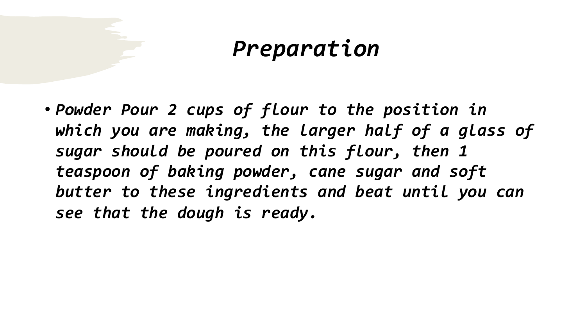• *Powder Pour 2 cups of flour to the position in which you are making, the larger half of a glass of sugar should be poured on this flour, then 1 teaspoon of baking powder, cane sugar and soft butter to these ingredients and beat until you can see that the dough is ready.*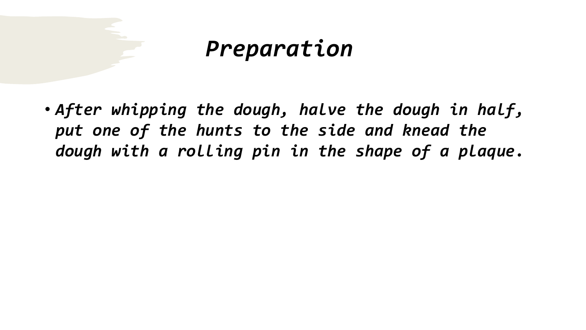• *After whipping the dough, halve the dough in half, put one of the hunts to the side and knead the dough with a rolling pin in the shape of a plaque.*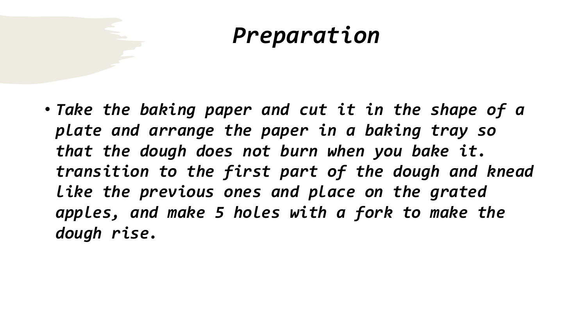• *Take the baking paper and cut it in the shape of a plate and arrange the paper in a baking tray so that the dough does not burn when you bake it. transition to the first part of the dough and knead like the previous ones and place on the grated apples, and make 5 holes with a fork to make the dough rise.*